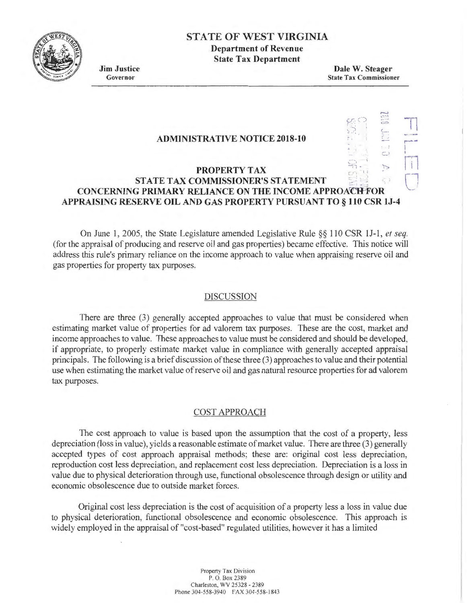

# **STATE OF WEST VIRGINIA Department of Revenue**

**State Tax Department** 

**Jim Justice**  Governor

**Dale W. Steager**  State Tax Commissioner

> ......., ...

> > -·

 $\sim$  1  $\,$  1  $\,$  1  $\,$  1  $\,$  1  $\,$  1  $\,$  1  $\,$  1  $\,$  1  $\,$  1  $\,$  1  $\,$  1  $\,$  1  $\,$  1  $\,$  1  $\,$  1  $\,$  1  $\,$  1  $\,$  1  $\,$  1  $\,$  1  $\,$  1  $\,$  1  $\,$  1  $\,$  1  $\,$  1  $\,$  1  $\,$  1  $\,$  1  $\,$  1  $\,$  1  $\,$ 

## **ADMINISTRATIVE NOTICE 2018-10**

#### ~·11. ....~ .... **PROPERTY TAX ST ATE TAX COMMISSIONER'S STATEMENT** . **CONCERNING PRIMARY RELIANCE ON THE INCOME APPROACH FOR APPRAISING RESERVE OIL AND GAS PROPERTY PURSUANT TO§ 110 CSR lJ-4**

On June I, 2005, the State Legislature amended Legislative Rule §§ 110 CSR IJ-1 , *et seq.*  (for the appraisal of producing and reserve oil and gas properties) became effective. This notice will address this rule's primary reliance on the income approach to value when appraising reserve oil and gas properties for property tax purposes.

#### DISCUSSION

There are three (3) generally accepted approaches to value that must be considered when estimating market value of properties for ad valorem tax purposes. These are the cost, market and income approaches to value. These approaches to value must be considered and should be developed, if appropriate, to properly estimate market value in compliance with generally accepted appraisal principals. The following is a brief discussion of these three (3) approaches to value and their potential use when estimating the market value of reserve oil and gas natural resource properties for ad valorem tax purposes.

#### COST APPROACH

The cost approach to value is based upon the assumption that the cost of a property, less depreciation (loss in value), yields a reasonable estimate of market value. There are three (3) generally accepted types of cost approach appraisal methods; these are: original cost less depreciation, reproduction cost less depreciation, and replacement cost less depreciation. Depreciation is a loss in value due to physical deterioration through use, functional obsolescence through design or utility and economic obsolescence due to outside market forces.

Original cost less depreciation is the cost of acquisition of a property less a loss in value due to physical deterioration, functional obsolescence and economic obsolescence. This approach is widely employed in the appraisal of "cost-based" regulated utilities, however it has a limited

> Propeny Tax Division P. 0. Box 2389 Charleston, WV 25328 - 2389 Phone 304-558-3940 FAX 304-558-1843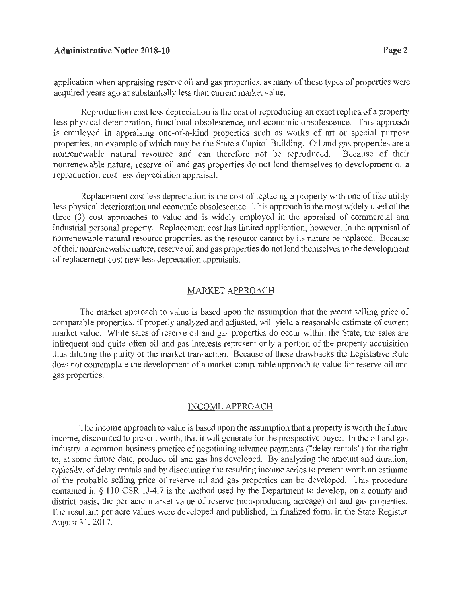### **Administrative Notice 2018-10 Page 2**

application when appraising reserve oil and gas properties, as many of these types of properties were acquired years ago at substantially less than current market value.

Reproduction cost Jess depreciation is the cost of reproducing an exact replica of a property less physical deterioration, functional obsolescence, and economic obsolescence. This approach is employed in appraising one-of-a-kind properties such as works of art or special purpose properties, an example of which may be the State's Capitol Building. Oil and gas properties are a nonrenewable natural resource and can therefore not be reproduced. Because of their nonrenewable nature, reserve oil and gas properties do not lend themselves to development of a reproduction cost less depreciation appraisal.

Replacement cost less depreciation is the cost of replacing a property with one of like utility less physical deterioration and economic obsolescence. This approach is the most widely used of the three (3) cost approaches to value and is widely employed in the appraisal of commercial and industrial personal property. Replacement cost has limited application, however, in the appraisal of nonrenewable natural resource properties, as the resource cannot by its nature be replaced. Because of their nonrenewable nature, reserve oil and gas properties do not lend themselves to the development of replacement cost new less depreciation appraisals.

#### MARKET APPROACH

The market approach to value is based upon the assumption that the recent selling price of comparable properties, if properly analyzed and adjusted, will yield a reasonable estimate of current market value. While sales of reserve oil and gas properties do occur within the State, the sales are infrequent and quite often oil and gas interests represent only a portion of the property acquisition thus diluting the purity of the market transaction. Because of these drawbacks the Legislative Rule does not contemplate the development of a market comparable approach to value for reserve oil and gas properties.

#### INCOME APPROACH

The income approach to value is based upon the assumption that a property is worth the future income, discounted to present worth, that it will generate for the prospective buyer. In the oil and gas industry, a common business practice of negotiating advance payments ("delay rentals") for the right to, at some future date, produce oil and gas has developed. By analyzing the amount and duration, typically, of delay rentals and by discounting the resulting income series to present worth an estimate of the probable selling price of reserve oil and gas properties can be developed. This procedure contained in  $\S$  110 CSR 1J-4.7 is the method used by the Department to develop, on a county and district basis, the per acre market value of reserve (non-producing acreage) oil and gas properties. The resultant per acre values were developed and published, in finalized form, in the State Register August 31, 2017.